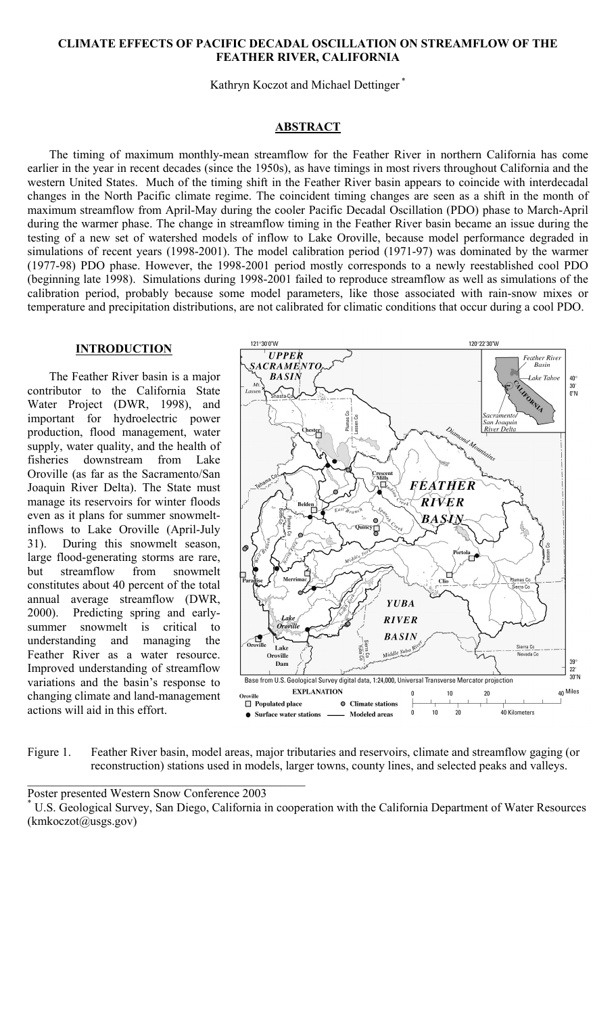#### **CLIMATE EFFECTS OF PACIFIC DECADAL OSCILLATION ON STREAMFLOW OF THE FEATHER RIVER, CALIFORNIA**

Kathryn Koczot and Michael Dettinger \*

### **ABSTRACT**

The timing of maximum monthly-mean streamflow for the Feather River in northern California has come earlier in the year in recent decades (since the 1950s), as have timings in most rivers throughout California and the western United States. Much of the timing shift in the Feather River basin appears to coincide with interdecadal changes in the North Pacific climate regime. The coincident timing changes are seen as a shift in the month of maximum streamflow from April-May during the cooler Pacific Decadal Oscillation (PDO) phase to March-April during the warmer phase. The change in streamflow timing in the Feather River basin became an issue during the testing of a new set of watershed models of inflow to Lake Oroville, because model performance degraded in simulations of recent years (1998-2001). The model calibration period (1971-97) was dominated by the warmer (1977-98) PDO phase. However, the 1998-2001 period mostly corresponds to a newly reestablished cool PDO (beginning late 1998). Simulations during 1998-2001 failed to reproduce streamflow as well as simulations of the calibration period, probably because some model parameters, like those associated with rain-snow mixes or temperature and precipitation distributions, are not calibrated for climatic conditions that occur during a cool PDO.

## **INTRODUCTION**

The Feather River basin is a major contributor to the California State Water Project (DWR, 1998), and important for hydroelectric power production, flood management, water supply, water quality, and the health of fisheries downstream from Lake Oroville (as far as the Sacramento/San Joaquin River Delta). The State must manage its reservoirs for winter floods even as it plans for summer snowmeltinflows to Lake Oroville (April-July 31). During this snowmelt season, large flood-generating storms are rare, but streamflow from snowmelt constitutes about 40 percent of the total annual average streamflow (DWR, 2000). Predicting spring and earlysummer snowmelt is critical to understanding and managing the Feather River as a water resource. Improved understanding of streamflow variations and the basin's response to changing climate and land-management actions will aid in this effort.



Figure 1. Feather River basin, model areas, major tributaries and reservoirs, climate and streamflow gaging (or reconstruction) stations used in models, larger towns, county lines, and selected peaks and valleys.

Poster presented Western Snow Conference 2003 \*

\_\_\_\_\_\_\_\_\_\_\_\_\_\_\_\_\_\_\_\_\_\_\_\_\_\_\_\_\_\_\_\_\_\_\_\_\_\_\_\_\_\_\_\_\_\_

U.S. Geological Survey, San Diego, California in cooperation with the California Department of Water Resources (kmkoczot@usgs.gov)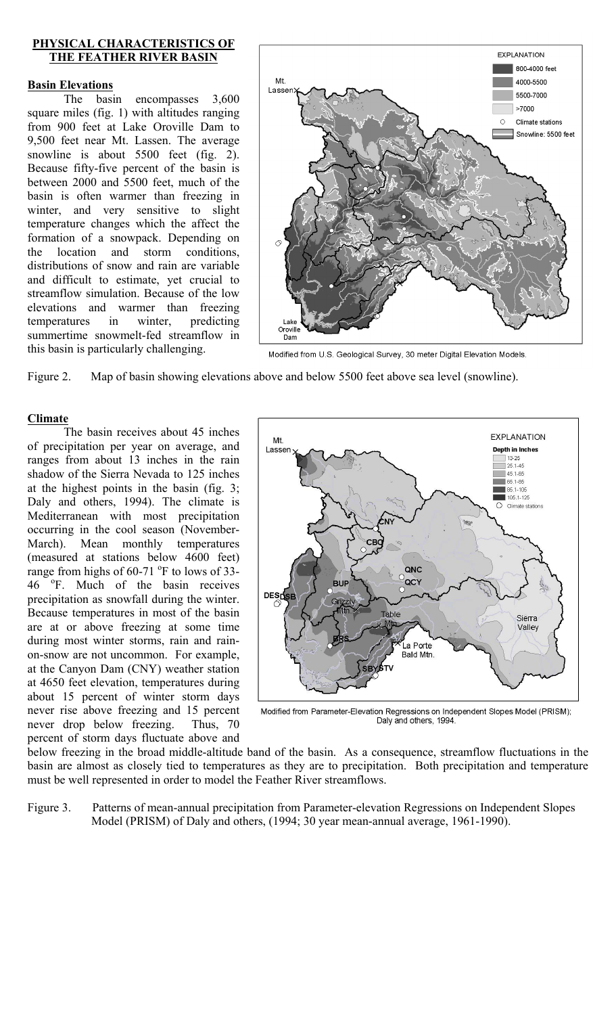## **PHYSICAL CHARACTERISTICS OF THE FEATHER RIVER BASIN**

## **Basin Elevations**

The basin encompasses 3,600 square miles (fig. 1) with altitudes ranging from 900 feet at Lake Oroville Dam to 9,500 feet near Mt. Lassen. The average snowline is about 5500 feet (fig. 2). Because fifty-five percent of the basin is between 2000 and 5500 feet, much of the basin is often warmer than freezing in winter, and very sensitive to slight temperature changes which the affect the formation of a snowpack. Depending on the location and storm conditions, distributions of snow and rain are variable and difficult to estimate, yet crucial to streamflow simulation. Because of the low elevations and warmer than freezing temperatures in winter, predicting summertime snowmelt-fed streamflow in this basin is particularly challenging.



Modified from U.S. Geological Survey, 30 meter Digital Elevation Models.

Figure 2. Map of basin showing elevations above and below 5500 feet above sea level (snowline).

# **Climate**

The basin receives about 45 inches of precipitation per year on average, and ranges from about 13 inches in the rain shadow of the Sierra Nevada to 125 inches at the highest points in the basin (fig. 3; Daly and others, 1994). The climate is Mediterranean with most precipitation occurring in the cool season (November-March). Mean monthly temperatures (measured at stations below 4600 feet) range from highs of  $60-71$  °F to lows of 33-46 °F. Much of the basin receives precipitation as snowfall during the winter. Because temperatures in most of the basin are at or above freezing at some time during most winter storms, rain and rainon-snow are not uncommon. For example, at the Canyon Dam (CNY) weather station at 4650 feet elevation, temperatures during about 15 percent of winter storm days never rise above freezing and 15 percent never drop below freezing. Thus, 70 percent of storm days fluctuate above and



Modified from Parameter-Elevation Regressions on Independent Slopes Model (PRISM); Daly and others, 1994

below freezing in the broad middle-altitude band of the basin. As a consequence, streamflow fluctuations in the basin are almost as closely tied to temperatures as they are to precipitation. Both precipitation and temperature must be well represented in order to model the Feather River streamflows.

Figure 3. Patterns of mean-annual precipitation from Parameter-elevation Regressions on Independent Slopes Model (PRISM) of Daly and others, (1994; 30 year mean-annual average, 1961-1990).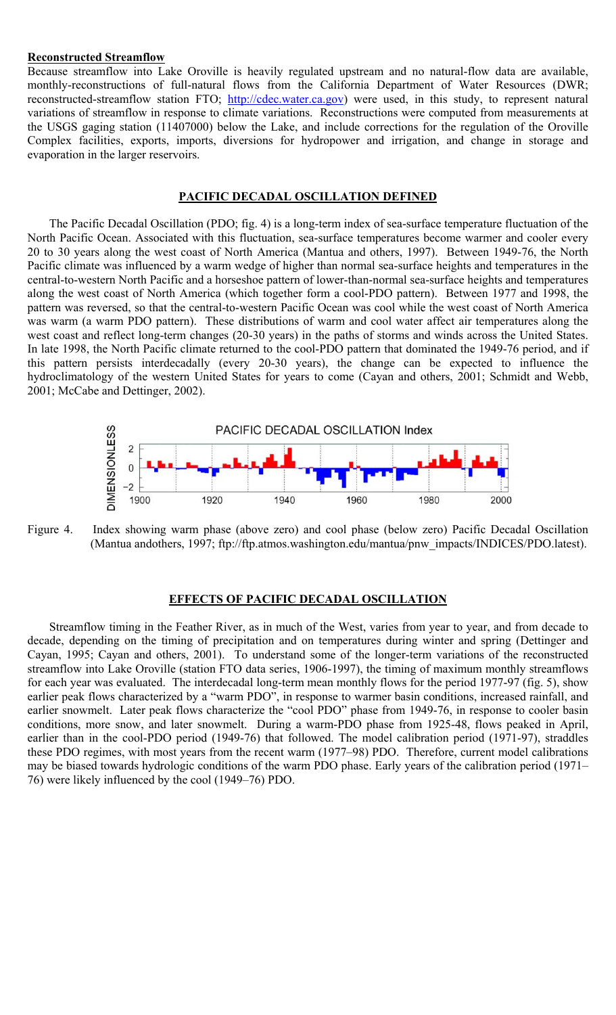### **Reconstructed Streamflow**

Because streamflow into Lake Oroville is heavily regulated upstream and no natural-flow data are available, monthly-reconstructions of full-natural flows from the California Department of Water Resources (DWR; reconstructed-streamflow station FTO; [http://cdec.water.ca.gov\)](http://cdec.water.ca.gov/) were used, in this study, to represent natural variations of streamflow in response to climate variations. Reconstructions were computed from measurements at the USGS gaging station (11407000) below the Lake, and include corrections for the regulation of the Oroville Complex facilities, exports, imports, diversions for hydropower and irrigation, and change in storage and evaporation in the larger reservoirs.

#### **PACIFIC DECADAL OSCILLATION DEFINED**

The Pacific Decadal Oscillation (PDO; fig. 4) is a long-term index of sea-surface temperature fluctuation of the North Pacific Ocean. Associated with this fluctuation, sea-surface temperatures become warmer and cooler every 20 to 30 years along the west coast of North America (Mantua and others, 1997). Between 1949-76, the North Pacific climate was influenced by a warm wedge of higher than normal sea-surface heights and temperatures in the central-to-western North Pacific and a horseshoe pattern of lower-than-normal sea-surface heights and temperatures along the west coast of North America (which together form a cool-PDO pattern). Between 1977 and 1998, the pattern was reversed, so that the central-to-western Pacific Ocean was cool while the west coast of North America was warm (a warm PDO pattern). These distributions of warm and cool water affect air temperatures along the west coast and reflect long-term changes (20-30 years) in the paths of storms and winds across the United States. In late 1998, the North Pacific climate returned to the cool-PDO pattern that dominated the 1949-76 period, and if this pattern persists interdecadally (every 20-30 years), the change can be expected to influence the hydroclimatology of the western United States for years to come (Cayan and others, 2001; Schmidt and Webb, 2001; McCabe and Dettinger, 2002).



Figure 4. Index showing warm phase (above zero) and cool phase (below zero) Pacific Decadal Oscillation (Mantua andothers, 1997; ftp://ftp.atmos.washington.edu/mantua/pnw\_impacts/INDICES/PDO.latest).

## **EFFECTS OF PACIFIC DECADAL OSCILLATION**

Streamflow timing in the Feather River, as in much of the West, varies from year to year, and from decade to decade, depending on the timing of precipitation and on temperatures during winter and spring (Dettinger and Cayan, 1995; Cayan and others, 2001). To understand some of the longer-term variations of the reconstructed streamflow into Lake Oroville (station FTO data series, 1906-1997), the timing of maximum monthly streamflows for each year was evaluated. The interdecadal long-term mean monthly flows for the period 1977-97 (fig. 5), show earlier peak flows characterized by a "warm PDO", in response to warmer basin conditions, increased rainfall, and earlier snowmelt. Later peak flows characterize the "cool PDO" phase from 1949-76, in response to cooler basin conditions, more snow, and later snowmelt. During a warm-PDO phase from 1925-48, flows peaked in April, earlier than in the cool-PDO period (1949-76) that followed. The model calibration period (1971-97), straddles these PDO regimes, with most years from the recent warm (1977–98) PDO. Therefore, current model calibrations may be biased towards hydrologic conditions of the warm PDO phase. Early years of the calibration period (1971– 76) were likely influenced by the cool (1949–76) PDO.